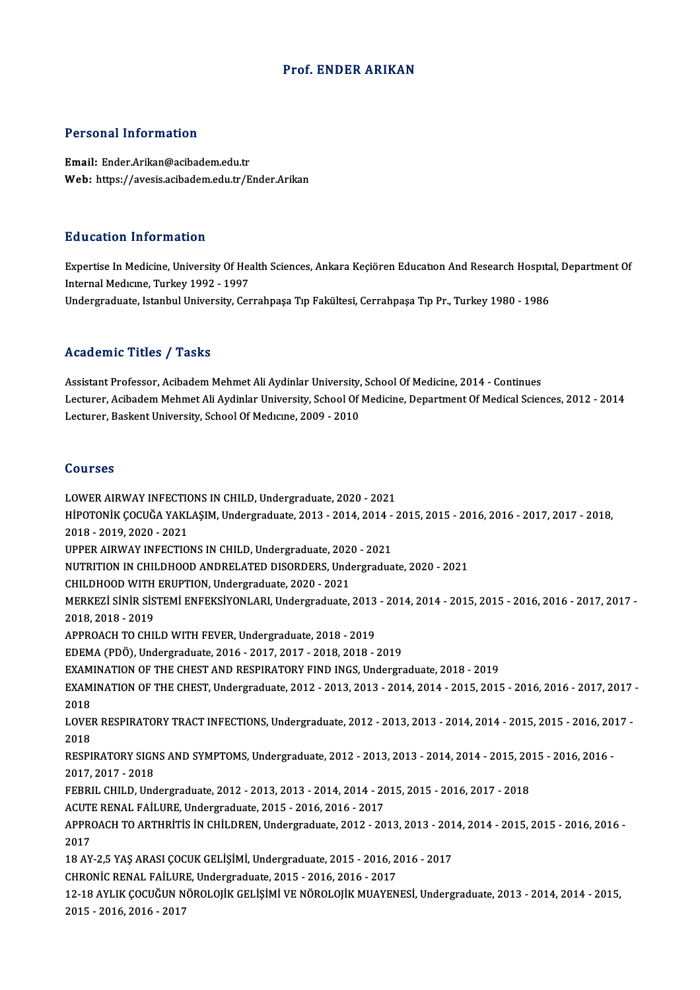#### Prof. ENDER ARIKAN

#### Personal Information

Email: Ender.Arikan@acibadem.edu.tr Web: https://avesis.acibadem.edu.tr/Ender.Arikan

#### Education Information

E**ducation Information**<br>Expertise In Medicine, University Of Health Sciences, Ankara Keçiören Education And Research Hospital, Department Of<br>Internal Medisine, Turkey 1992, 1997 Butternal Medicine, University Of Heart<br>Internal Medicine, University Of Hea<br>Indergraduate Jatanbul University Cer Internal Medicine, Turkey 1992 - 1997<br>Undergraduate, Istanbul University, Cerrahpaşa Tıp Fakültesi, Cerrahpaşa Tıp Pr., Turkey 1980 - 1986

#### Academic Titles / Tasks

Assistant Professor, Acibadem Mehmet Ali Aydinlar University, School Of Medicine, 2014 - Continues Lecturer, Acibadem Mehmet Ali Aydinlar University, School Of Medicine, Department Of Medical Sciences, 2012 - 2014 Lecturer, Baskent University, School Of Medicine, 2009 - 2010

#### Courses

LOWER AIRWAY INFECTIONS IN CHILD, Undergraduate, 2020 - 2021 SOG13338<br>LOWER AIRWAY INFECTIONS IN CHILD, Undergraduate, 2020 - 2021<br>HİPOTONİK ÇOCUĞA YAKLAŞIM, Undergraduate, 2013 - 2014, 2014 - 2015, 2015 - 2016, 2016 - 2017, 2017 - 2018, LOWER AIRWAY INFECTION<br>HİPOTONİK ÇOCUĞA YAKL<br>2018 - 2019, 2020 - 2021<br>UPPER AIRWAY INFECTIO HİPOTONİK ÇOCUĞA YAKLAŞIM, Undergraduate, 2013 - 2014, 2014 -<br>2018 - 2019, 2020 - 2021<br>UPPER AIRWAY INFECTIONS IN CHILD, Undergraduate, 2020 - 2021<br>NUTPUTION IN CHILDHOOD ANDRELATED DISOPDERS, Undergradua 2018 - 2019, 2020 - 2021<br>UPPER AIRWAY INFECTIONS IN CHILD, Undergraduate, 2020 - 2021<br>NUTRITION IN CHILDHOOD ANDRELATED DISORDERS, Undergraduate, 2020 - 2021<br>CHILDHOOD WITH ERURTION Undergraduate, 2020, 2021 UPPER AIRWAY INFECTIONS IN CHILD, Undergraduate, 2020<br>NUTRITION IN CHILDHOOD ANDRELATED DISORDERS, Under<br>CHILDHOOD WITH ERUPTION, Undergraduate, 2020 - 2021<br>MERKEZI SINIR SISTEMI ENERKSIVONI APL Undergraduate MERKEZİ SİNİR SİSTEMİ ENFEKSİYONLARI, Undergraduate, 2013 - 2014, 2014 - 2015, 2015 - 2016, 2016 - 2017, 2017 -<br>2018, 2018 - 2019 CHILDHOOD WITH ERUPTION, Undergraduate, 2020 - 2021 MERKEZİ SİNİR SİSTEMİ ENFEKSİYONLARI, Undergraduate, 2013<br>2018, 2018 - 2019<br>APPROACH TO CHILD WITH FEVER, Undergraduate, 2018 - 2019<br>EDEMA (PDÖ), Undergraduate, 2016 - 2017, 2017, 2018, 2019 2018, 2018 - 2019<br>APPROACH TO CHILD WITH FEVER, Undergraduate, 2018 - 2019<br>EDEMA (PDÖ), Undergraduate, 2016 - 2017, 2017 - 2018, 2018 - 2019<br>EXAMINATION OF THE CHEST AND RESPIRATORY FIND INCS, Undergra EDEMA (PDÖ), Undergraduate, 2016 - 2017, 2017 - 2018, 2018 - 2019<br>EXAMINATION OF THE CHEST AND RESPIRATORY FIND INGS, Undergraduate, 2018 - 2019 EDEMA (PDÖ), Undergraduate, 2016 - 2017, 2017 - 2018, 2018 - 2019<br>EXAMINATION OF THE CHEST AND RESPIRATORY FIND INGS, Undergraduate, 2018 - 2019<br>EXAMINATION OF THE CHEST, Undergraduate, 2012 - 2013, 2013 - 2014, 2014 - 201 EXAM<br>EXAM<br>2018<br>LOVE! EXAMINATION OF THE CHEST, Undergraduate, 2012 - 2013, 2013 - 2014, 2014 - 2015, 2015 - 2016, 2016 - 2017, 2017<br>2018<br>LOVER RESPIRATORY TRACT INFECTIONS, Undergraduate, 2012 - 2013, 2013 - 2014, 2014 - 2015, 2015 - 2016, 201 2018<br>LOVER RESPIRATORY TRACT INFECTIONS, Undergraduate, 2012 - 2013, 2013 - 2014, 2014 - 2015, 2015 - 2016, 2017 -<br>2018 LOVER RESPIRATORY TRACT INFECTIONS, Undergraduate, 2012 - 2013, 2013 - 2014, 2014 - 2015, 2015 - 2016, 2015<br>2018<br>RESPIRATORY SIGNS AND SYMPTOMS, Undergraduate, 2012 - 2013, 2013 - 2014, 2014 - 2015, 2015 - 2016, 2016 -<br>201 2018<br>RESPIRATORY SIGN<br>2017, 2017 - 2018<br>EEPPH, CHH D, Und RESPIRATORY SIGNS AND SYMPTOMS, Undergraduate, 2012 - 2013, 2013 - 2014, 2014 - 2015, 20<br>2017, 2017 - 2018<br>FEBRIL CHILD, Undergraduate, 2012 - 2013, 2013 - 2014, 2014 - 2015, 2015 - 2016, 2017 - 2018<br>ACUTE RENAL FAILURE Un 2017, 2017 - 2018<br>FEBRIL CHILD, Undergraduate, 2012 - 2013, 2013 - 2014, 2014 - 2015, 2015 - 2016, 2017 - 2018<br>ACUTE RENAL FAİLURE, Undergraduate, 2015 - 2016, 2016 - 2017 FEBRIL CHILD, Undergraduate, 2012 - 2013, 2013 - 2014, 2014 - 2015, 2015 - 2016, 2017 - 2018<br>ACUTE RENAL FAİLURE, Undergraduate, 2015 - 2016, 2016 - 2017<br>APPROACH TO ARTHRİTİS İN CHİLDREN, Undergraduate, 2012 - 2013, 2013 ACUTI<br>APPRO<br>2017<br>19 AV APPROACH TO ARTHRİTİS İN CHİLDREN, Undergraduate, 2012 - 2013, 2013 - 201<br>2017<br>18 AY-2,5 YAŞ ARASI ÇOCUK GELİŞİMİ, Undergraduate, 2015 - 2016, 2016 - 2017<br>CHRONİC RENAL FAİLURE Undergraduate, 2015 - 2016, 2016, 2017 2017<br>18 AY-2,5 YAŞ ARASI ÇOCUK GELİŞİMİ, Undergraduate, 2015 - 2016, 2016 - 2017 12-18 AYLIK ÇOCUĞUN NÖROLOJİK GELİŞİMİ VE NÖROLOJİK MUAYENESİ, Undergraduate, 2013 - 2014, 2014 - 2015,<br>2015 - 2016. 2016 - 2017 CHRONİC RENAL FAİLURE, Undergraduate, 2015 - 2016, 2016 - 2017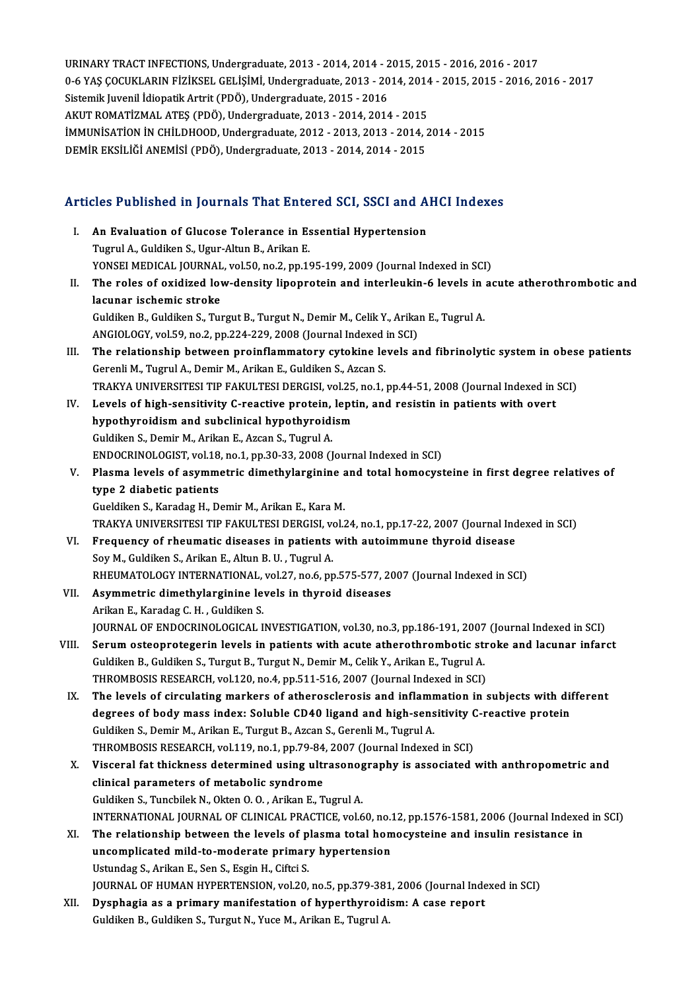URINARY TRACT INFECTIONS, Undergraduate, 2013 - 2014, 2014 - 2015, 2015 - 2016, 2016 - 2017<br>0 6 YAS COCUVI ARIN FIZIKSEL CELISIMI Undergraduate, 2012, 2014, 2014, 2015, 2015, 2016, 2 URINARY TRACT INFECTIONS, Undergraduate, 2013 - 2014, 2014 - 2015, 2015 - 2016, 2016 - 2017<br>0-6 YAŞ ÇOCUKLARIN FİZİKSEL GELİŞİMİ, Undergraduate, 2013 - 2014, 2014 - 2015, 2015 - 2016, 2016 - 2017<br>Sistemik Luvenil İdiopatik URINARY TRACT INFECTIONS, Undergraduate, 2013 - 2014, 2014 - 2<br>0-6 YAŞ ÇOCUKLARIN FİZİKSEL GELİŞİMİ, Undergraduate, 2013 - 20<br>Sistemik Juvenil İdiopatik Artrit (PDÖ), Undergraduate, 2015 - 2016<br>AKUT POMATİZMAL ATES (PDÖ), 0-6 YAŞ ÇOCUKLARIN FİZİKSEL GELİŞİMİ, Undergraduate, 2013 - 2014, 2014<br>Sistemik Juvenil İdiopatik Artrit (PDÖ), Undergraduate, 2015 - 2016<br>AKUT ROMATİZMAL ATEŞ (PDÖ), Undergraduate, 2013 - 2014, 2014 - 2015<br>İMMUNİSATİON İN Sistemik Juvenil İdiopatik Artrit (PDÖ), Undergraduate, 2015 - 2016<br>AKUT ROMATİZMAL ATEŞ (PDÖ), Undergraduate, 2013 - 2014, 2014 - 2015<br>İMMUNİSATİON İN CHİLDHOOD, Undergraduate, 2012 - 2013, 2013 - 2014, 2014 - 2015<br>DEMİR AKUT ROMATİZMAL ATEŞ (PDÖ), Undergraduate, 2013 - 2014, 2014 - 2015<br>İMMUNİSATİON İN CHİLDHOOD, Undergraduate, 2012 - 2013, 2013 - 2014, .<br>DEMİR EKSİLİĞİ ANEMİSİ (PDÖ), Undergraduate, 2013 - 2014, 2014 - 2015

# DEMIK EKSILIGI ANEMISI (PDO), Ondergraduate, 2013 - 2014, 2014 - 2015<br>Articles Published in Journals That Entered SCI, SSCI and AHCI Indexes

| Articles Published in Journals That Entered SCI, SSCI and AHCI Indexes |                                                                                                        |
|------------------------------------------------------------------------|--------------------------------------------------------------------------------------------------------|
| L.                                                                     | An Evaluation of Glucose Tolerance in Essential Hypertension                                           |
|                                                                        | Tugrul A., Guldiken S., Ugur-Altun B., Arikan E.                                                       |
|                                                                        | YONSEI MEDICAL JOURNAL, vol.50, no.2, pp.195-199, 2009 (Journal Indexed in SCI)                        |
| П.                                                                     | The roles of oxidized low-density lipoprotein and interleukin-6 levels in acute atherothrombotic and   |
|                                                                        | lacunar ischemic stroke                                                                                |
|                                                                        | Guldiken B., Guldiken S., Turgut B., Turgut N., Demir M., Celik Y., Arikan E., Tugrul A.               |
|                                                                        | ANGIOLOGY, vol.59, no.2, pp.224-229, 2008 (Journal Indexed in SCI)                                     |
| III.                                                                   | The relationship between proinflammatory cytokine levels and fibrinolytic system in obese patients     |
|                                                                        | Gerenli M., Tugrul A., Demir M., Arikan E., Guldiken S., Azcan S.                                      |
|                                                                        | TRAKYA UNIVERSITESI TIP FAKULTESI DERGISI, vol.25, no.1, pp.44-51, 2008 (Journal Indexed in SCI)       |
| IV.                                                                    | Levels of high-sensitivity C-reactive protein, leptin, and resistin in patients with overt             |
|                                                                        | hypothyroidism and subclinical hypothyroidism                                                          |
|                                                                        | Guldiken S., Demir M., Arikan E., Azcan S., Tugrul A.                                                  |
|                                                                        | ENDOCRINOLOGIST, vol.18, no.1, pp.30-33, 2008 (Journal Indexed in SCI)                                 |
| V.                                                                     | Plasma levels of asymmetric dimethylarginine and total homocysteine in first degree relatives of       |
|                                                                        | type 2 diabetic patients                                                                               |
|                                                                        | Gueldiken S., Karadag H., Demir M., Arikan E., Kara M.                                                 |
|                                                                        | TRAKYA UNIVERSITESI TIP FAKULTESI DERGISI, vol.24, no.1, pp.17-22, 2007 (Journal Indexed in SCI)       |
| VI.                                                                    | Frequency of rheumatic diseases in patients with autoimmune thyroid disease                            |
|                                                                        | Soy M., Guldiken S., Arikan E., Altun B. U., Tugrul A.                                                 |
|                                                                        | RHEUMATOLOGY INTERNATIONAL, vol.27, no.6, pp.575-577, 2007 (Journal Indexed in SCI)                    |
| VII.                                                                   | Asymmetric dimethylarginine levels in thyroid diseases                                                 |
|                                                                        | Arikan E., Karadag C. H., Guldiken S.                                                                  |
|                                                                        | JOURNAL OF ENDOCRINOLOGICAL INVESTIGATION, vol.30, no.3, pp.186-191, 2007 (Journal Indexed in SCI)     |
| VIII.                                                                  | Serum osteoprotegerin levels in patients with acute atherothrombotic stroke and lacunar infarct        |
|                                                                        | Guldiken B., Guldiken S., Turgut B., Turgut N., Demir M., Celik Y., Arikan E., Tugrul A.               |
|                                                                        | THROMBOSIS RESEARCH, vol.120, no.4, pp.511-516, 2007 (Journal Indexed in SCI)                          |
| IX.                                                                    | The levels of circulating markers of atherosclerosis and inflammation in subjects with different       |
|                                                                        | degrees of body mass index: Soluble CD40 ligand and high-sensitivity C-reactive protein                |
|                                                                        | Guldiken S., Demir M., Arikan E., Turgut B., Azcan S., Gerenli M., Tugrul A.                           |
|                                                                        | THROMBOSIS RESEARCH, vol.119, no.1, pp.79-84, 2007 (Journal Indexed in SCI)                            |
| X.                                                                     | Visceral fat thickness determined using ultrasonography is associated with anthropometric and          |
|                                                                        | clinical parameters of metabolic syndrome                                                              |
|                                                                        | Guldiken S., Tuncbilek N., Okten O. O., Arikan E., Tugrul A.                                           |
|                                                                        | INTERNATIONAL JOURNAL OF CLINICAL PRACTICE, vol.60, no.12, pp.1576-1581, 2006 (Journal Indexed in SCI) |
| XI.                                                                    | The relationship between the levels of plasma total homocysteine and insulin resistance in             |
|                                                                        | uncomplicated mild-to-moderate primary hypertension                                                    |
|                                                                        | Ustundag S., Arikan E., Sen S., Esgin H., Ciftci S.                                                    |
|                                                                        | JOURNAL OF HUMAN HYPERTENSION, vol.20, no.5, pp.379-381, 2006 (Journal Indexed in SCI)                 |
| XII.                                                                   | Dysphagia as a primary manifestation of hyperthyroidism: A case report                                 |
|                                                                        | Guldiken B., Guldiken S., Turgut N., Yuce M., Arikan E., Tugrul A.                                     |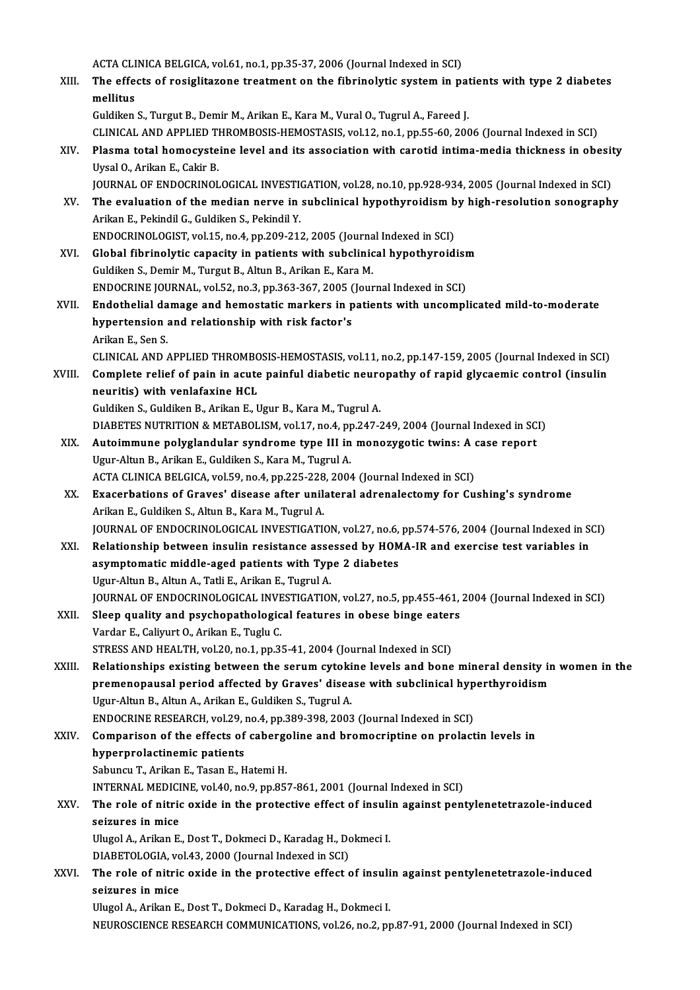ACTA CLINICA BELGICA, vol.61, no.1, pp.35-37, 2006 (Journal Indexed in SCI)<br>The effects of resiglitatene treatment on the fibrinelytic system in no

- ACTA CLINICA BELGICA, vol.61, no.1, pp.35-37, 2006 (Journal Indexed in SCI)<br>XIII. The effects of rosiglitazone treatment on the fibrinolytic system in patients with type 2 diabetes ACTA CLI<br>The effe<br>mellitus<br>Guldikan The effects of rosiglitazone treatment on the fibrinolytic system in pat<br>mellitus<br>Guldiken S., Turgut B., Demir M., Arikan E., Kara M., Vural O., Tugrul A., Fareed J.<br>GUNICAL AND APPLIED THROMPOSIS HEMOSTASIS vral 12, pp.1 mellitus<br>Guldiken S., Turgut B., Demir M., Arikan E., Kara M., Vural O., Tugrul A., Fareed J.<br>CLINICAL AND APPLIED THROMBOSIS-HEMOSTASIS, vol.12, no.1, pp.55-60, 2006 (Journal Indexed in SCI)<br>Plasma total homosysteine leve Guldiken S., Turgut B., Demir M., Arikan E., Kara M., Vural O., Tugrul A., Fareed J.<br>CLINICAL AND APPLIED THROMBOSIS-HEMOSTASIS, vol.12, no.1, pp.55-60, 2006 (Journal Indexed in SCI)<br>XIV. Plasma total homocysteine level an
- CLINICAL AND APPLIED T<br>Plasma total homocyste<br>Uysal O., Arikan E., Cakir B.<br>JOUPNAL OF ENDOCPINOL Plasma total homocysteine level and its association with carotid intima-media thickness in obesit<br>Uysal O., Arikan E., Cakir B.<br>JOURNAL OF ENDOCRINOLOGICAL INVESTIGATION, vol.28, no.10, pp.928-934, 2005 (Journal Indexed in
- Uysal O., Arikan E., Cakir B.<br>JOURNAL OF ENDOCRINOLOGICAL INVESTIGATION, vol.28, no.10, pp.928-934, 2005 (Journal Indexed in SCI)<br>XV. The evaluation of the median nerve in subclinical hypothyroidism by high-resolution sono **JOURNAL OF ENDOCRINOLOGICAL INVESTION**<br>The evaluation of the median nerve in<br>Arikan E., Pekindil G., Guldiken S., Pekindil Y.<br>ENDOCRINOLOGIST, vol.15, no.4, nn.209, 21: The evaluation of the median nerve in subclinical hypothyroidism b<br>Arikan E., Pekindil G., Guldiken S., Pekindil Y.<br>ENDOCRINOLOGIST, vol.15, no.4, pp.209-212, 2005 (Journal Indexed in SCI)<br>Clabel fibrinolytic canocity in n ENDOCRINOLOGIST, vol.15, no.4, pp.209-212, 2005 (Journal Indexed in SCI)
- Arikan E., Pekindil G., Guldiken S., Pekindil Y.<br>ENDOCRINOLOGIST, vol.15, no.4, pp.209-212, 2005 (Journal Indexed in SCI)<br>XVI. Global fibrinolytic capacity in patients with subclinical hypothyroidism<br>Guldiken S., Demir M., Global fibrinolytic capacity in patients with subclinical hypothyroidism<br>Guldiken S., Demir M., Turgut B., Altun B., Arikan E., Kara M.<br>ENDOCRINE JOURNAL, vol.52, no.3, pp.363-367, 2005 (Journal Indexed in SCI)<br>Endothelial
- Guldiken S., Demir M., Turgut B., Altun B., Arikan E., Kara M.<br>ENDOCRINE JOURNAL, vol.52, no.3, pp.363-367, 2005 (Journal Indexed in SCI)<br>XVII. Endothelial damage and hemostatic markers in patients with uncomplicated mild-ENDOCRINE JOURNAL, vol.52, no.3, pp.363-367, 2005 (<br>Endothelial damage and hemostatic markers in p<br>hypertension and relationship with risk factor's<br>Arikan E. Son S Endothelial da<br>hypertension<br>Arikan E., Sen S.<br>CLINICAL AND hypertension and relationship with risk factor's<br>Arikan E., Sen S.<br>CLINICAL AND APPLIED THROMBOSIS-HEMOSTASIS, vol.11, no.2, pp.147-159, 2005 (Journal Indexed in SCI)

Arikan E., Sen S.<br>CLINICAL AND APPLIED THROMBOSIS-HEMOSTASIS, vol.11, no.2, pp.147-159, 2005 (Journal Indexed in SCI)<br>XVIII. Complete relief of pain in acute painful diabetic neuropathy of rapid glycaemic control (insulin CLINICAL AND APPLIED THROMBO<br>Complete relief of pain in acute<br>neuritis) with venlafaxine HCL<br>Culdilon S. Culdilon B. Arilon E. L Complete relief of pain in acute painful diabetic neuron<br>neuritis) with venlafaxine HCL<br>Guldiken S., Guldiken B., Arikan E., Ugur B., Kara M., Tugrul A.<br>DIABETES NUTRITION & METABOLISM, vol 17, no 4, np 247.7

neuritis) with venlafaxine HCL<br>Guldiken S., Guldiken B., Arikan E., Ugur B., Kara M., Tugrul A.<br>DIABETES NUTRITION & METABOLISM, vol.17, no.4, pp.247-249, 2004 (Journal Indexed in SCI)

- Guldiken S., Guldiken B., Arikan E., Ugur B., Kara M., Tugrul A.<br>DIABETES NUTRITION & METABOLISM, vol.17, no.4, pp.247-249, 2004 (Journal Indexed in SC<br>XIX. Autoimmune polyglandular syndrome type III in monozygotic twins: DIABETES NUTRITION & METABOLISM, vol.17, no.4, pp<br>Autoimmune polyglandular syndrome type III in<br>Ugur-Altun B., Arikan E., Guldiken S., Kara M., Tugrul A.<br>ACTA CLINICA BELGICA vol.59, no.4, np.325, 329, 3004 Autoimmune polyglandular syndrome type III in monozygotic twins: A (<br>Ugur-Altun B., Arikan E., Guldiken S., Kara M., Tugrul A.<br>ACTA CLINICA BELGICA, vol.59, no.4, pp.225-228, 2004 (Journal Indexed in SCI)<br>Exagerbations of
	- ACTA CLINICA BELGICA, vol.59, no.4, pp.225-228, 2004 (Journal Indexed in SCI)
- Ugur-Altun B., Arikan E., Guldiken S., Kara M., Tugrul A.<br>ACTA CLINICA BELGICA, vol.59, no.4, pp.225-228, 2004 (Journal Indexed in SCI)<br>XX. Exacerbations of Graves' disease after unilateral adrenalectomy for Cushing's synd Exacerbations of Graves' disease after unilateral adrenalectomy for Cushing's syndrome<br>Arikan E., Guldiken S., Altun B., Kara M., Tugrul A.<br>JOURNAL OF ENDOCRINOLOGICAL INVESTIGATION, vol.27, no.6, pp.574-576, 2004 (Journal Arikan E., Guldiken S., Altun B., Kara M., Tugrul A.<br>JOURNAL OF ENDOCRINOLOGICAL INVESTIGATION, vol.27, no.6, pp.574-576, 2004 (Journal Indexed in State<br>XXI. Relationship between insulin resistance assessed by HOMA-IR and
- JOURNAL OF ENDOCRINOLOGICAL INVESTIGATION, vol.27, no.6,<br>Relationship between insulin resistance assessed by HOM<br>asymptomatic middle-aged patients with Type 2 diabetes<br>Haur Altun B. Altun A. Tetli E. Arikan E. Tuguyl A. Relationship between insulin resistance asse<br>asymptomatic middle-aged patients with Typ<br>Ugur-Altun B., Altun A., Tatli E., Arikan E., Tugrul A.<br>JOUPMAL OF ENDOCPINOLOGICAL INVESTIC ATIOL asymptomatic middle-aged patients with Type 2 diabetes<br>Ugur-Altun B., Altun A., Tatli E., Arikan E., Tugrul A.<br>JOURNAL OF ENDOCRINOLOGICAL INVESTIGATION, vol.27, no.5, pp.455-461, 2004 (Journal Indexed in SCI)<br>Sleep qualit Ugur-Altun B., Altun A., Tatli E., Arikan E., Tugrul A.<br>JOURNAL OF ENDOCRINOLOGICAL INVESTIGATION, vol.27, no.5, pp.455-461,<br>XXII. Sleep quality and psychopathological features in obese binge eaters<br>Verder E. Colimit O. Ar
- JOURNAL OF ENDOCRINOLOGICAL INVE<br>Sleep quality and psychopathologic<br>Vardar E., Caliyurt O., Arikan E., Tuglu C.<br>STRESS AND UEALTH vol 20, no 1, np 2. XXII. Sleep quality and psychopathological features in obese binge eaters<br>Vardar E., Caliyurt O., Arikan E., Tuglu C.<br>STRESS AND HEALTH, vol.20, no.1, pp.35-41, 2004 (Journal Indexed in SCI)
- Vardar E., Caliyurt O., Arikan E., Tuglu C.<br>STRESS AND HEALTH, vol.20, no.1, pp.35-41, 2004 (Journal Indexed in SCI)<br>XXIII. Relationships existing between the serum cytokine levels and bone mineral density in women in the<br> STRESS AND HEALTH, vol.20, no.1, pp.35-41, 2004 (Journal Indexed in SCI)<br>Relationships existing between the serum cytokine levels and bone mineral density in<br>premenopausal period affected by Graves' disease with subclinica Ugur-Altun B., Altun A., Arikan E., Guldiken S., Tugrul A.<br>ENDOCRINE RESEARCH, vol.29, no.4, pp.389-398, 2003 (Journal Indexed in SCI) premenopausal period affected by Graves' disease with subclinical hyperthyroidism

Ugur-Altun B., Altun A., Arikan E., Guldiken S., Tugrul A.<br>ENDOCRINE RESEARCH, vol.29, no.4, pp.389-398, 2003 (Journal Indexed in SCI)<br>XXIV. Comparison of the effects of cabergoline and bromocriptine on prolactin levels in hyperprolactinemic patients<br>Sabuncu T., Arikan E., Tasan E., Hatemi H. Comparison of the effects of caberg<br>hyperprolactinemic patients<br>Sabuncu T., Arikan E., Tasan E., Hatemi H.<br>INTERNAL MEDICINE vol.40, no.9, np.95' hyperprolactinemic patients<br>Sabuncu T., Arikan E., Tasan E., Hatemi H.<br>INTERNAL MEDICINE, vol.40, no.9, pp.857-861, 2001 (Journal Indexed in SCI)<br>The role of nitric exide in the protective effect of inculin escinst peri

### Sabuncu T., Arikan E., Tasan E., Hatemi H.<br>INTERNAL MEDICINE, vol.40, no.9, pp.857-861, 2001 (Journal Indexed in SCI)<br>XXV. The role of nitric oxide in the protective effect of insulin against pentylenetetrazole-induced **INTERNAL MEDICI<br>The role of nitric<br>seizures in mice<br>Illugal A Arikan E** The role of nitric oxide in the protective effect of insuli<br>seizures in mice<br>Ulugol A., Arikan E., Dost T., Dokmeci D., Karadag H., Dokmeci I.<br>DIABETOLOCIA vol.42, 2000 (Journal Indoved in SCI) seizures in mice<br>Ulugol A., Arikan E., Dost T., Dokmeci D., Karadag H., Do<br>DIABETOLOGIA, vol.43, 2000 (Journal Indexed in SCI)<br>The role of nitris oxide in the protective effect e

Ulugol A., Arikan E., Dost T., Dokmeci D., Karadag H., Dokmeci I.<br>DIABETOLOGIA, vol.43, 2000 (Journal Indexed in SCI)<br>XXVI. The role of nitric oxide in the protective effect of insulin against pentylenetetrazole-induced<br>co DIABETOLOGIA, vo<br>The role of nitric<br>seizures in mice The role of nitric oxide in the protective effect of insuli<br>seizures in mice<br>Ulugol A., Arikan E., Dost T., Dokmeci D., Karadag H., Dokmeci I.<br>NEUDOSCIENCE RESEARCH COMMUNICATIONS, val.26, no.2, no

seizures in mice<br>Ulugol A., Arikan E., Dost T., Dokmeci D., Karadag H., Dokmeci I.<br>NEUROSCIENCE RESEARCH COMMUNICATIONS, vol.26, no.2, pp.87-91, 2000 (Journal Indexed in SCI)